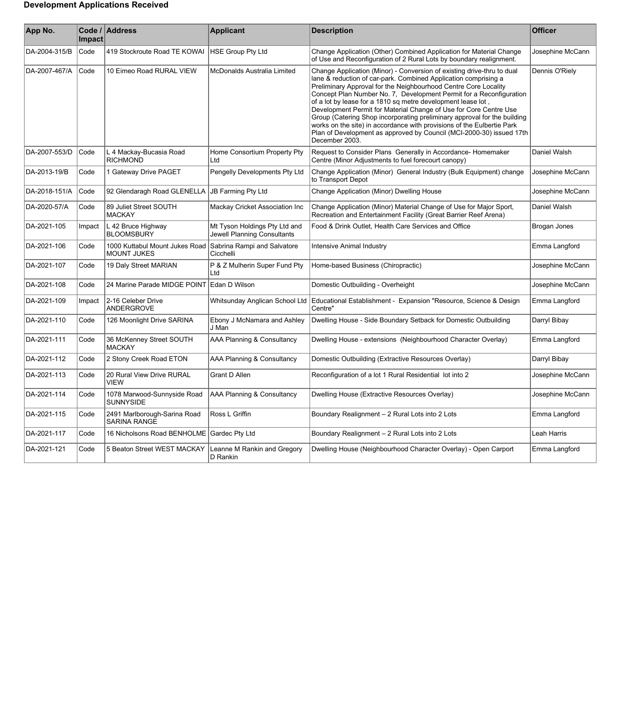## **Development Applications Received**

| App No.       | Impact | Code / Address                                       | <b>Applicant</b>                                             | <b>Description</b>                                                                                                                                                                                                                                                                                                                                                                                                                                                                                                                                                                                                                                                       | <b>Officer</b>   |
|---------------|--------|------------------------------------------------------|--------------------------------------------------------------|--------------------------------------------------------------------------------------------------------------------------------------------------------------------------------------------------------------------------------------------------------------------------------------------------------------------------------------------------------------------------------------------------------------------------------------------------------------------------------------------------------------------------------------------------------------------------------------------------------------------------------------------------------------------------|------------------|
| DA-2004-315/B | Code   | 419 Stockroute Road TE KOWAI                         | <b>HSE Group Pty Ltd</b>                                     | Change Application (Other) Combined Application for Material Change<br>of Use and Reconfiguration of 2 Rural Lots by boundary realignment.                                                                                                                                                                                                                                                                                                                                                                                                                                                                                                                               | Josephine McCann |
| DA-2007-467/A | Code   | 10 Eimeo Road RURAL VIEW                             | McDonalds Australia Limited                                  | Change Application (Minor) - Conversion of existing drive-thru to dual<br>lane & reduction of car-park. Combined Application comprising a<br>Preliminary Approval for the Neighbourhood Centre Core Locality<br>Concept Plan Number No. 7, Development Permit for a Reconfiguration<br>of a lot by lease for a 1810 sq metre development lease lot,<br>Development Permit for Material Change of Use for Core Centre Use<br>Group (Catering Shop incorporating preliminary approval for the building<br>works on the site) in accordance with provisions of the Eulbertie Park<br>Plan of Development as approved by Council (MCI-2000-30) issued 17th<br>December 2003. | Dennis O'Riely   |
| DA-2007-553/D | Code   | L 4 Mackay-Bucasia Road<br><b>RICHMOND</b>           | Home Consortium Property Pty<br>Ltd                          | Request to Consider Plans Generally in Accordance-Homemaker<br>Centre (Minor Adjustments to fuel forecourt canopy)                                                                                                                                                                                                                                                                                                                                                                                                                                                                                                                                                       | Daniel Walsh     |
| DA-2013-19/B  | Code   | 1 Gateway Drive PAGET                                | Pengelly Developments Pty Ltd                                | Change Application (Minor) General Industry (Bulk Equipment) change<br>to Transport Depot                                                                                                                                                                                                                                                                                                                                                                                                                                                                                                                                                                                | Josephine McCann |
| DA-2018-151/A | Code   | 92 Glendaragh Road GLENELLA                          | JB Farming Pty Ltd                                           | Change Application (Minor) Dwelling House                                                                                                                                                                                                                                                                                                                                                                                                                                                                                                                                                                                                                                | Josephine McCann |
| DA-2020-57/A  | Code   | 89 Juliet Street SOUTH<br><b>MACKAY</b>              | Mackay Cricket Association Inc                               | Change Application (Minor) Material Change of Use for Major Sport,<br>Recreation and Entertainment Facility (Great Barrier Reef Arena)                                                                                                                                                                                                                                                                                                                                                                                                                                                                                                                                   | Daniel Walsh     |
| DA-2021-105   | Impact | L 42 Bruce Highway<br><b>BLOOMSBURY</b>              | Mt Tyson Holdings Pty Ltd and<br>Jewell Planning Consultants | Food & Drink Outlet, Health Care Services and Office                                                                                                                                                                                                                                                                                                                                                                                                                                                                                                                                                                                                                     | Brogan Jones     |
| DA-2021-106   | Code   | 1000 Kuttabul Mount Jukes Road<br><b>MOUNT JUKES</b> | Sabrina Rampi and Salvatore<br>Cicchelli                     | <b>Intensive Animal Industry</b>                                                                                                                                                                                                                                                                                                                                                                                                                                                                                                                                                                                                                                         | Emma Langford    |
| DA-2021-107   | Code   | 19 Daly Street MARIAN                                | P & Z Mulherin Super Fund Pty<br>Ltd                         | Home-based Business (Chiropractic)                                                                                                                                                                                                                                                                                                                                                                                                                                                                                                                                                                                                                                       | Josephine McCann |
| DA-2021-108   | Code   | 24 Marine Parade MIDGE POINT                         | Edan D Wilson                                                | Domestic Outbuilding - Overheight                                                                                                                                                                                                                                                                                                                                                                                                                                                                                                                                                                                                                                        | Josephine McCann |
| DA-2021-109   | Impact | 2-16 Celeber Drive<br>ANDERGROVE                     |                                                              | Whitsunday Anglican School Ltd   Educational Establishment - Expansion "Resource, Science & Design<br>Centre"                                                                                                                                                                                                                                                                                                                                                                                                                                                                                                                                                            | Emma Langford    |
| DA-2021-110   | Code   | 126 Moonlight Drive SARINA                           | Ebony J McNamara and Ashley<br>J Man                         | Dwelling House - Side Boundary Setback for Domestic Outbuilding                                                                                                                                                                                                                                                                                                                                                                                                                                                                                                                                                                                                          | Darryl Bibay     |
| DA-2021-111   | Code   | 36 McKenney Street SOUTH<br><b>MACKAY</b>            | AAA Planning & Consultancy                                   | Dwelling House - extensions (Neighbourhood Character Overlay)                                                                                                                                                                                                                                                                                                                                                                                                                                                                                                                                                                                                            | Emma Langford    |
| DA-2021-112   | Code   | 2 Stony Creek Road ETON                              | AAA Planning & Consultancy                                   | Domestic Outbuilding (Extractive Resources Overlay)                                                                                                                                                                                                                                                                                                                                                                                                                                                                                                                                                                                                                      | Darryl Bibay     |
| DA-2021-113   | Code   | 20 Rural View Drive RURAL<br><b>VIEW</b>             | Grant D Allen                                                | Reconfiguration of a lot 1 Rural Residential lot into 2                                                                                                                                                                                                                                                                                                                                                                                                                                                                                                                                                                                                                  | Josephine McCann |
| DA-2021-114   | Code   | 1078 Marwood-Sunnyside Road<br><b>SUNNYSIDE</b>      | AAA Planning & Consultancy                                   | Dwelling House (Extractive Resources Overlay)                                                                                                                                                                                                                                                                                                                                                                                                                                                                                                                                                                                                                            | Josephine McCann |
| DA-2021-115   | Code   | 2491 Marlborough-Sarina Road<br><b>SARINA RANGE</b>  | Ross L Griffin                                               | Boundary Realignment - 2 Rural Lots into 2 Lots                                                                                                                                                                                                                                                                                                                                                                                                                                                                                                                                                                                                                          | Emma Langford    |
| DA-2021-117   | Code   | 16 Nicholsons Road BENHOLME                          | Gardec Pty Ltd                                               | Boundary Realignment - 2 Rural Lots into 2 Lots                                                                                                                                                                                                                                                                                                                                                                                                                                                                                                                                                                                                                          | Leah Harris      |
| DA-2021-121   | Code   | 5 Beaton Street WEST MACKAY                          | Leanne M Rankin and Gregory<br>D Rankin                      | Dwelling House (Neighbourhood Character Overlay) - Open Carport                                                                                                                                                                                                                                                                                                                                                                                                                                                                                                                                                                                                          | Emma Langford    |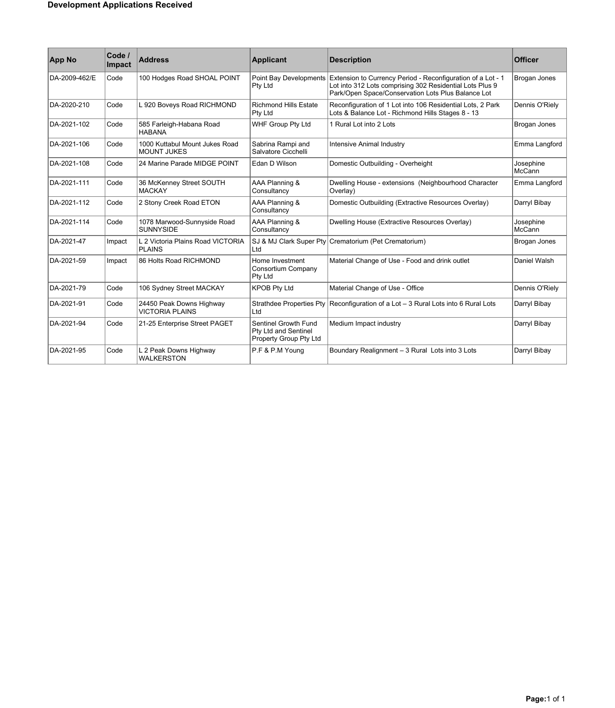| <b>App No</b> | Code /<br><b>Impact</b> | <b>Address</b>                                       | <b>Applicant</b>                                                       | <b>Description</b>                                                                                                                                                            | <b>Officer</b>      |
|---------------|-------------------------|------------------------------------------------------|------------------------------------------------------------------------|-------------------------------------------------------------------------------------------------------------------------------------------------------------------------------|---------------------|
| DA-2009-462/E | Code                    | 100 Hodges Road SHOAL POINT                          | Point Bay Developments<br>Pty Ltd                                      | Extension to Currency Period - Reconfiguration of a Lot - 1<br>Lot into 312 Lots comprising 302 Residential Lots Plus 9<br>Park/Open Space/Conservation Lots Plus Balance Lot | Brogan Jones        |
| DA-2020-210   | Code                    | L 920 Boveys Road RICHMOND                           | <b>Richmond Hills Estate</b><br>Pty Ltd                                | Reconfiguration of 1 Lot into 106 Residential Lots, 2 Park<br>Lots & Balance Lot - Richmond Hills Stages 8 - 13                                                               | Dennis O'Riely      |
| DA-2021-102   | Code                    | 585 Farleigh-Habana Road<br><b>HABANA</b>            | WHF Group Pty Ltd                                                      | 1 Rural Lot into 2 Lots                                                                                                                                                       | Brogan Jones        |
| DA-2021-106   | Code                    | 1000 Kuttabul Mount Jukes Road<br><b>MOUNT JUKES</b> | Sabrina Rampi and<br>Salvatore Cicchelli                               | Intensive Animal Industry                                                                                                                                                     | Emma Langford       |
| DA-2021-108   | Code                    | 24 Marine Parade MIDGE POINT                         | Edan D Wilson                                                          | Domestic Outbuilding - Overheight                                                                                                                                             | Josephine<br>McCann |
| DA-2021-111   | Code                    | 36 McKenney Street SOUTH<br><b>MACKAY</b>            | AAA Planning &<br>Consultancy                                          | Dwelling House - extensions (Neighbourhood Character<br>Overlay)                                                                                                              | Emma Langford       |
| DA-2021-112   | Code                    | 2 Stony Creek Road ETON                              | AAA Planning &<br>Consultancy                                          | Domestic Outbuilding (Extractive Resources Overlay)                                                                                                                           | Darryl Bibay        |
| DA-2021-114   | Code                    | 1078 Marwood-Sunnyside Road<br><b>SUNNYSIDE</b>      | AAA Planning &<br>Consultancy                                          | Dwelling House (Extractive Resources Overlay)                                                                                                                                 | Josephine<br>McCann |
| DA-2021-47    | Impact                  | L 2 Victoria Plains Road VICTORIA<br><b>PLAINS</b>   | SJ & MJ Clark Super Pty<br>Ltd                                         | Crematorium (Pet Crematorium)                                                                                                                                                 | Brogan Jones        |
| DA-2021-59    | Impact                  | 86 Holts Road RICHMOND                               | Home Investment<br>Consortium Company<br>Pty Ltd                       | Material Change of Use - Food and drink outlet                                                                                                                                | Daniel Walsh        |
| DA-2021-79    | Code                    | 106 Sydney Street MACKAY                             | <b>KPOB Pty Ltd</b>                                                    | Material Change of Use - Office                                                                                                                                               | Dennis O'Riely      |
| DA-2021-91    | Code                    | 24450 Peak Downs Highway<br><b>VICTORIA PLAINS</b>   | <b>Strathdee Properties Pty</b><br>ht I                                | Reconfiguration of a Lot - 3 Rural Lots into 6 Rural Lots                                                                                                                     | Darryl Bibay        |
| DA-2021-94    | Code                    | 21-25 Enterprise Street PAGET                        | Sentinel Growth Fund<br>Pty Ltd and Sentinel<br>Property Group Pty Ltd | Medium Impact industry                                                                                                                                                        | Darryl Bibay        |
| DA-2021-95    | Code                    | L 2 Peak Downs Highway<br><b>WALKERSTON</b>          | P.F & P.M Young                                                        | Boundary Realignment - 3 Rural Lots into 3 Lots                                                                                                                               | Darryl Bibay        |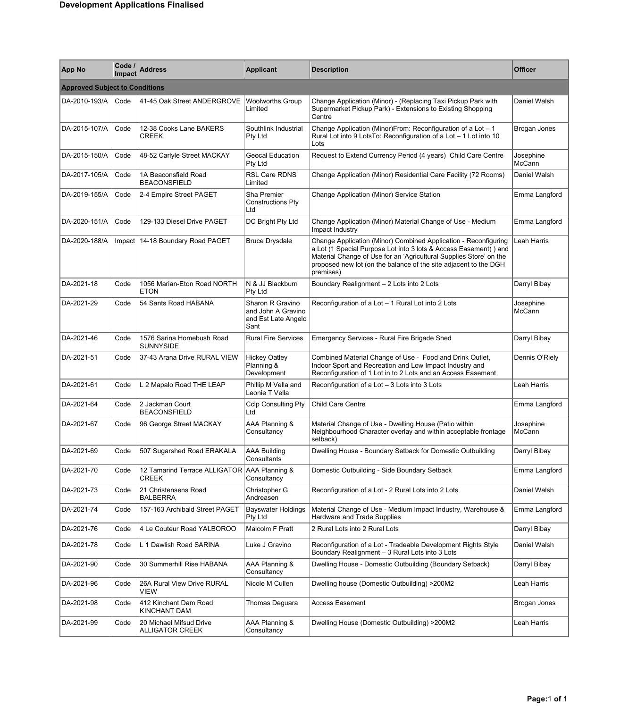| <b>App No</b>                         | Code /<br>Impact | Address                                               | <b>Applicant</b>                                                      | <b>Description</b>                                                                                                                                                                                                                                                                          | <b>Officer</b>      |
|---------------------------------------|------------------|-------------------------------------------------------|-----------------------------------------------------------------------|---------------------------------------------------------------------------------------------------------------------------------------------------------------------------------------------------------------------------------------------------------------------------------------------|---------------------|
| <b>Approved Subject to Conditions</b> |                  |                                                       |                                                                       |                                                                                                                                                                                                                                                                                             |                     |
| DA-2010-193/A                         | Code             | 41-45 Oak Street ANDERGROVE                           | <b>Woolworths Group</b><br>Limited                                    | Change Application (Minor) - (Replacing Taxi Pickup Park with<br>Supermarket Pickup Park) - Extensions to Existing Shopping<br>Centre                                                                                                                                                       | Daniel Walsh        |
| DA-2015-107/A                         | Code             | 12-38 Cooks Lane BAKERS<br>CREEK                      | Southlink Industrial<br>Pty Ltd                                       | Change Application (Minor)From: Reconfiguration of a Lot - 1<br>Rural Lot into 9 LotsTo: Reconfiguration of a Lot - 1 Lot into 10<br>Lots                                                                                                                                                   | Brogan Jones        |
| DA-2015-150/A                         | Code             | 48-52 Carlyle Street MACKAY                           | Geocal Education<br>Pty Ltd                                           | Request to Extend Currency Period (4 years) Child Care Centre                                                                                                                                                                                                                               | Josephine<br>McCann |
| DA-2017-105/A                         | Code             | 1A Beaconsfield Road<br><b>BEACONSFIELD</b>           | RSL Care RDNS<br>Limited                                              | Change Application (Minor) Residential Care Facility (72 Rooms)                                                                                                                                                                                                                             | Daniel Walsh        |
| DA-2019-155/A                         | Code             | 2-4 Empire Street PAGET                               | Sha Premier<br><b>Constructions Pty</b><br>Ltd                        | Change Application (Minor) Service Station                                                                                                                                                                                                                                                  | Emma Langford       |
| DA-2020-151/A                         | Code             | 129-133 Diesel Drive PAGET                            | DC Bright Pty Ltd                                                     | Change Application (Minor) Material Change of Use - Medium<br>Impact Industry                                                                                                                                                                                                               | Emma Langford       |
| DA-2020-188/A                         |                  | Impact   14-18 Boundary Road PAGET                    | <b>Bruce Drysdale</b>                                                 | Change Application (Minor) Combined Application - Reconfiguring<br>a Lot (1 Special Purpose Lot into 3 lots & Access Easement) ) and<br>Material Change of Use for an 'Agricultural Supplies Store' on the<br>proposed new lot (on the balance of the site adjacent to the DGH<br>premises) | Leah Harris         |
| DA-2021-18                            | Code             | 1056 Marian-Eton Road NORTH<br><b>ETON</b>            | N & JJ Blackburn<br>Pty Ltd                                           | Boundary Realignment - 2 Lots into 2 Lots                                                                                                                                                                                                                                                   | Darryl Bibay        |
| DA-2021-29                            | Code             | 54 Sants Road HABANA                                  | Sharon R Gravino<br>and John A Gravino<br>and Est Late Angelo<br>Sant | Reconfiguration of a Lot - 1 Rural Lot into 2 Lots                                                                                                                                                                                                                                          | Josephine<br>McCann |
| DA-2021-46                            | Code             | 1576 Sarina Homebush Road<br><b>SUNNYSIDE</b>         | <b>Rural Fire Services</b>                                            | Emergency Services - Rural Fire Brigade Shed                                                                                                                                                                                                                                                | Darryl Bibay        |
| DA-2021-51                            | Code             | 37-43 Arana Drive RURAL VIEW                          | <b>Hickey Oatley</b><br>Planning &<br>Development                     | Combined Material Change of Use - Food and Drink Outlet,<br>Indoor Sport and Recreation and Low Impact Industry and<br>Reconfiguration of 1 Lot in to 2 Lots and an Access Easement                                                                                                         | Dennis O'Riely      |
| DA-2021-61                            | Code             | L 2 Mapalo Road THE LEAP                              | Phillip M Vella and<br>Leonie T Vella                                 | Reconfiguration of a Lot - 3 Lots into 3 Lots                                                                                                                                                                                                                                               | Leah Harris         |
| DA-2021-64                            | Code             | 2 Jackman Court<br><b>BEACONSFIELD</b>                | <b>Cclp Consulting Pty</b><br>Ltd                                     | Child Care Centre                                                                                                                                                                                                                                                                           | Emma Langford       |
| DA-2021-67                            | Code             | 96 George Street MACKAY                               | AAA Planning &<br>Consultancy                                         | Material Change of Use - Dwelling House (Patio within<br>Neighbourhood Character overlay and within acceptable frontage<br>setback)                                                                                                                                                         | Josephine<br>McCann |
| DA-2021-69                            | Code             | 507 Sugarshed Road ERAKALA                            | <b>AAA Building</b><br>Consultants                                    | Dwelling House - Boundary Setback for Domestic Outbuilding                                                                                                                                                                                                                                  | Darryl Bibay        |
| DA-2021-70                            | Code             | 12 Tamarind Terrace ALLIGATOR AAA Planning &<br>CREEK | Consultancy                                                           | Domestic Outbuilding - Side Boundary Setback                                                                                                                                                                                                                                                | Emma Langford       |
| DA-2021-73                            | Code             | 21 Christensens Road<br><b>BALBERRA</b>               | Christopher G<br>Andreasen                                            | Reconfiguration of a Lot - 2 Rural Lots into 2 Lots                                                                                                                                                                                                                                         | Daniel Walsh        |
| DA-2021-74                            | Code             | 157-163 Archibald Street PAGET                        | <b>Bayswater Holdings</b><br>Pty Ltd                                  | Material Change of Use - Medium Impact Industry, Warehouse &<br><b>Hardware and Trade Supplies</b>                                                                                                                                                                                          | Emma Langford       |
| DA-2021-76                            | Code             | 4 Le Couteur Road YALBOROO                            | Malcolm F Pratt                                                       | 2 Rural Lots into 2 Rural Lots                                                                                                                                                                                                                                                              | Darryl Bibay        |
| DA-2021-78                            | Code             | L 1 Dawlish Road SARINA                               | Luke J Gravino                                                        | Reconfiguration of a Lot - Tradeable Development Rights Style<br>Boundary Realignment - 3 Rural Lots into 3 Lots                                                                                                                                                                            | Daniel Walsh        |
| DA-2021-90                            | Code             | 30 Summerhill Rise HABANA                             | AAA Planning &<br>Consultancy                                         | Dwelling House - Domestic Outbuilding (Boundary Setback)                                                                                                                                                                                                                                    | Darryl Bibay        |
| DA-2021-96                            | Code             | 26A Rural View Drive RURAL<br>VIEW                    | Nicole M Cullen                                                       | Dwelling house (Domestic Outbuilding) > 200M2                                                                                                                                                                                                                                               | Leah Harris         |
| DA-2021-98                            | Code             | 412 Kinchant Dam Road<br>KINCHANT DAM                 | Thomas Deguara                                                        | Access Easement                                                                                                                                                                                                                                                                             | Brogan Jones        |
| DA-2021-99                            | Code             | 20 Michael Mifsud Drive<br><b>ALLIGATOR CREEK</b>     | AAA Planning &<br>Consultancy                                         | Dwelling House (Domestic Outbuilding) >200M2                                                                                                                                                                                                                                                | Leah Harris         |